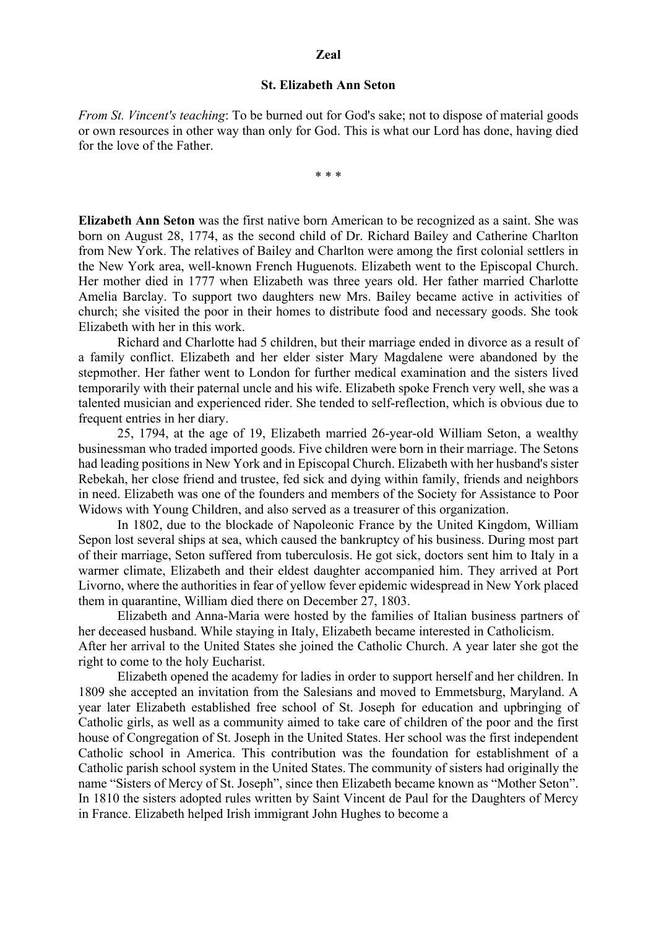## **Zeal**

## **St. Elizabeth Ann Seton**

*From St. Vincent's teaching*: To be burned out for God's sake; not to dispose of material goods or own resources in other way than only for God. This is what our Lord has done, having died for the love of the Father.

\* \* \*

**Elizabeth Ann Seton** was the first native born American to be recognized as a saint. She was born on August 28, 1774, as the second child of Dr. Richard Bailey and Catherine Charlton from New York. The relatives of Bailey and Charlton were among the first colonial settlers in the New York area, well-known French Huguenots. Elizabeth went to the Episcopal Church. Her mother died in 1777 when Elizabeth was three years old. Her father married Charlotte Amelia Barclay. To support two daughters new Mrs. Bailey became active in activities of church; she visited the poor in their homes to distribute food and necessary goods. She took Elizabeth with her in this work.

Richard and Charlotte had 5 children, but their marriage ended in divorce as a result of a family conflict. Elizabeth and her elder sister Mary Magdalene were abandoned by the stepmother. Her father went to London for further medical examination and the sisters lived temporarily with their paternal uncle and his wife. Elizabeth spoke French very well, she was a talented musician and experienced rider. She tended to self-reflection, which is obvious due to frequent entries in her diary.

25, 1794, at the age of 19, Elizabeth married 26-year-old William Seton, a wealthy businessman who traded imported goods. Five children were born in their marriage. The Setons had leading positions in New York and in Episcopal Church. Elizabeth with her husband's sister Rebekah, her close friend and trustee, fed sick and dying within family, friends and neighbors in need. Elizabeth was one of the founders and members of the Society for Assistance to Poor Widows with Young Children, and also served as a treasurer of this organization.

In 1802, due to the blockade of Napoleonic France by the United Kingdom, William Sepon lost several ships at sea, which caused the bankruptcy of his business. During most part of their marriage, Seton suffered from tuberculosis. He got sick, doctors sent him to Italy in a warmer climate, Elizabeth and their eldest daughter accompanied him. They arrived at Port Livorno, where the authorities in fear of yellow fever epidemic widespread in New York placed them in quarantine, William died there on December 27, 1803.

Elizabeth and Anna-Maria were hosted by the families of Italian business partners of her deceased husband. While staying in Italy, Elizabeth became interested in Catholicism. After her arrival to the United States she joined the Catholic Church. A year later she got the right to come to the holy Eucharist.

Elizabeth opened the academy for ladies in order to support herself and her children. In 1809 she accepted an invitation from the Salesians and moved to Emmetsburg, Maryland. A year later Elizabeth established free school of St. Joseph for education and upbringing of Catholic girls, as well as a community aimed to take care of children of the poor and the first house of Congregation of St. Joseph in the United States. Her school was the first independent Catholic school in America. This contribution was the foundation for establishment of a Catholic parish school system in the United States. The community of sisters had originally the name "Sisters of Mercy of St. Joseph", since then Elizabeth became known as "Mother Seton". In 1810 the sisters adopted rules written by Saint Vincent de Paul for the Daughters of Mercy in France. Elizabeth helped Irish immigrant John Hughes to become a